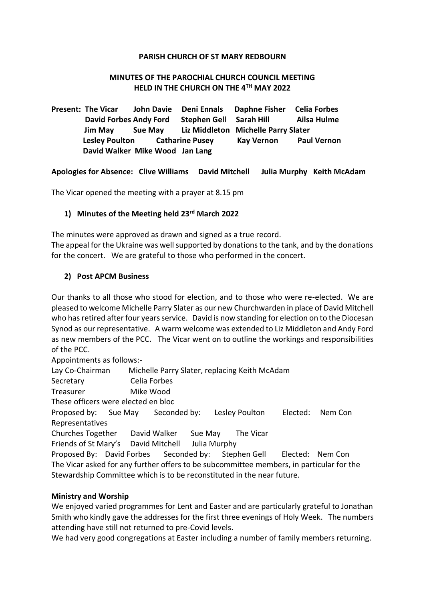#### **PARISH CHURCH OF ST MARY REDBOURN**

#### **MINUTES OF THE PAROCHIAL CHURCH COUNCIL MEETING HELD IN THE CHURCH ON THE 4TH MAY 2022**

**Present: The Vicar John Davie Deni Ennals Daphne Fisher Celia Forbes David Forbes Andy Ford Stephen Gell Sarah Hill Ailsa Hulme Jim May Sue May Liz Middleton Michelle Parry Slater Lesley Poulton Catharine Pusey Kay Vernon Paul Vernon David Walker Mike Wood Jan Lang**

**Apologies for Absence: Clive Williams David Mitchell Julia Murphy Keith McAdam**

The Vicar opened the meeting with a prayer at 8.15 pm

#### **1) Minutes of the Meeting held 23rd March 2022**

The minutes were approved as drawn and signed as a true record.

The appeal for the Ukraine was well supported by donations to the tank, and by the donations for the concert. We are grateful to those who performed in the concert.

#### **2) Post APCM Business**

Our thanks to all those who stood for election, and to those who were re-elected. We are pleased to welcome Michelle Parry Slater as our new Churchwarden in place of David Mitchell who has retired after four years service. David is now standing for election on to the Diocesan Synod as our representative. A warm welcome was extended to Liz Middleton and Andy Ford as new members of the PCC. The Vicar went on to outline the workings and responsibilities of the PCC.

Appointments as follows:-

Lay Co-Chairman Michelle Parry Slater, replacing Keith McAdam

Secretary Celia Forbes

Treasurer Mike Wood

These officers were elected en bloc

Proposed by: Sue May Seconded by: Lesley Poulton Elected: Nem Con Representatives

Churches Together David Walker Sue May The Vicar

Friends of St Mary's David Mitchell Julia Murphy

Proposed By: David Forbes Seconded by: Stephen Gell Elected: Nem Con The Vicar asked for any further offers to be subcommittee members, in particular for the Stewardship Committee which is to be reconstituted in the near future.

#### **Ministry and Worship**

We enjoyed varied programmes for Lent and Easter and are particularly grateful to Jonathan Smith who kindly gave the addresses for the first three evenings of Holy Week. The numbers attending have still not returned to pre-Covid levels.

We had very good congregations at Easter including a number of family members returning.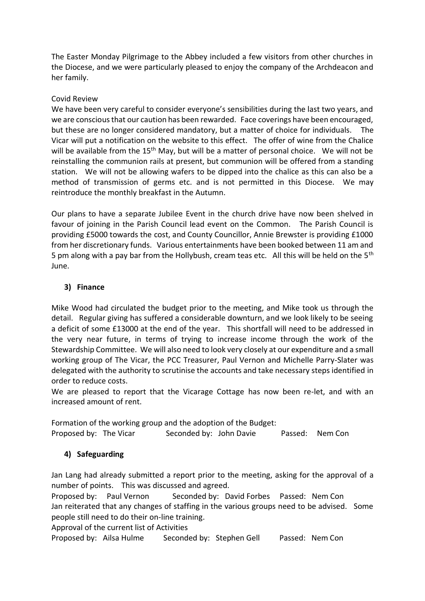The Easter Monday Pilgrimage to the Abbey included a few visitors from other churches in the Diocese, and we were particularly pleased to enjoy the company of the Archdeacon and her family.

## Covid Review

We have been very careful to consider everyone's sensibilities during the last two years, and we are conscious that our caution has been rewarded. Face coverings have been encouraged, but these are no longer considered mandatory, but a matter of choice for individuals. The Vicar will put a notification on the website to this effect. The offer of wine from the Chalice will be available from the 15<sup>th</sup> May, but will be a matter of personal choice. We will not be reinstalling the communion rails at present, but communion will be offered from a standing station. We will not be allowing wafers to be dipped into the chalice as this can also be a method of transmission of germs etc. and is not permitted in this Diocese. We may reintroduce the monthly breakfast in the Autumn.

Our plans to have a separate Jubilee Event in the church drive have now been shelved in favour of joining in the Parish Council lead event on the Common. The Parish Council is providing £5000 towards the cost, and County Councillor, Annie Brewster is providing £1000 from her discretionary funds. Various entertainments have been booked between 11 am and 5 pm along with a pay bar from the Hollybush, cream teas etc. All this will be held on the 5<sup>th</sup> June.

# **3) Finance**

Mike Wood had circulated the budget prior to the meeting, and Mike took us through the detail. Regular giving has suffered a considerable downturn, and we look likely to be seeing a deficit of some £13000 at the end of the year. This shortfall will need to be addressed in the very near future, in terms of trying to increase income through the work of the Stewardship Committee. We will also need to look very closely at our expenditure and a small working group of The Vicar, the PCC Treasurer, Paul Vernon and Michelle Parry-Slater was delegated with the authority to scrutinise the accounts and take necessary steps identified in order to reduce costs.

We are pleased to report that the Vicarage Cottage has now been re-let, and with an increased amount of rent.

Formation of the working group and the adoption of the Budget: Proposed by: The Vicar Seconded by: John Davie Passed: Nem Con

# **4) Safeguarding**

Jan Lang had already submitted a report prior to the meeting, asking for the approval of a number of points. This was discussed and agreed.

Proposed by: Paul Vernon Seconded by: David Forbes Passed: Nem Con Jan reiterated that any changes of staffing in the various groups need to be advised. Some people still need to do their on-line training.

Approval of the current list of Activities

Proposed by: Ailsa Hulme Seconded by: Stephen Gell Passed: Nem Con